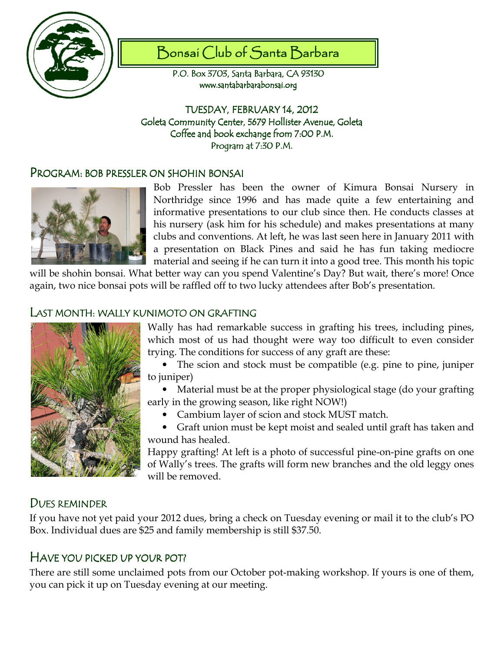

# Bonsai Club of Santa Barbara

P.O. Box 3703, Santa Barbara, CA 93130 www.santabarbarabonsai.org

TUESDAY, FEBRUARY 14, 2012 Goleta Community Center, 5679 Hollister Avenue, Goleta Coffee and book exchange from 7:00 P.M. Program at 7:30 P.M.

### PROGRAM: BOB PRESSLER ON SHOHIN BONSAI



Bob Pressler has been the owner of Kimura Bonsai Nursery in Northridge since 1996 and has made quite a few entertaining and informative presentations to our club since then. He conducts classes at his nursery (ask him for his schedule) and makes presentations at many clubs and conventions. At left, he was last seen here in January 2011 with a presentation on Black Pines and said he has fun taking mediocre material and seeing if he can turn it into a good tree. This month his topic

will be shohin bonsai. What better way can you spend Valentine's Day? But wait, there's more! Once again, two nice bonsai pots will be raffled off to two lucky attendees after Bob's presentation.

### LAST MONTH: WALLY KUNIMOTO ON GRAFTING



Wally has had remarkable success in grafting his trees, including pines, which most of us had thought were way too difficult to even consider trying. The conditions for success of any graft are these:

• The scion and stock must be compatible (e.g. pine to pine, juniper to juniper)

• Material must be at the proper physiological stage (do your grafting early in the growing season, like right NOW!)

• Cambium layer of scion and stock MUST match.

• Graft union must be kept moist and sealed until graft has taken and wound has healed.

Happy grafting! At left is a photo of successful pine-on-pine grafts on one of Wally's trees. The grafts will form new branches and the old leggy ones will be removed.

## DUES REMINDER

If you have not yet paid your 2012 dues, bring a check on Tuesday evening or mail it to the club's PO Box. Individual dues are \$25 and family membership is still \$37.50.

## HAVE YOU PICKED UP YOUR POT?

There are still some unclaimed pots from our October pot-making workshop. If yours is one of them, you can pick it up on Tuesday evening at our meeting.